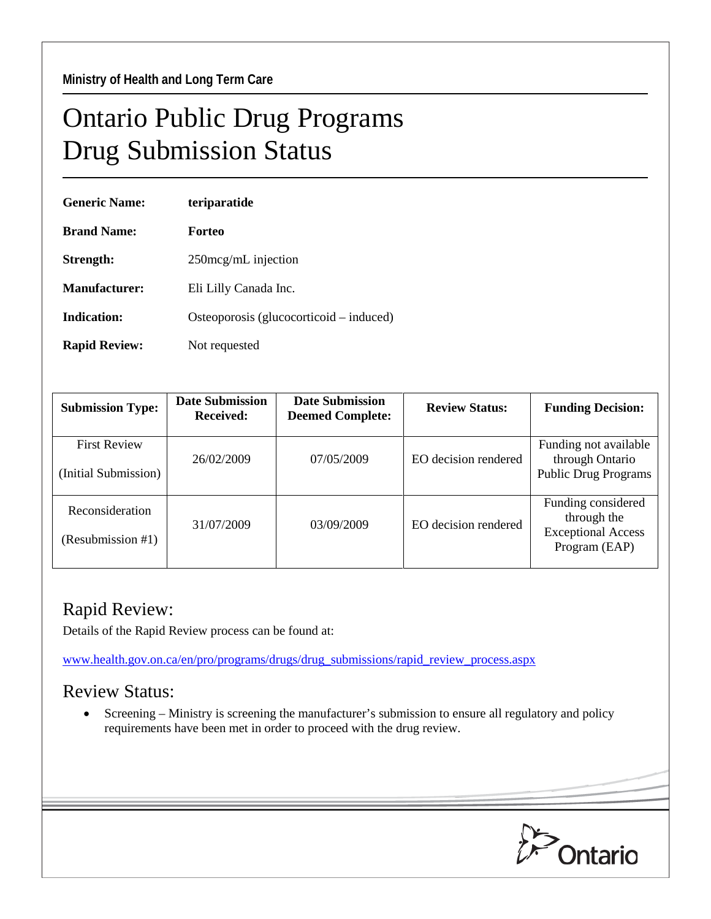## Ontario Public Drug Programs Drug Submission Status

| <b>Generic Name:</b> | teriparatide                            |  |  |
|----------------------|-----------------------------------------|--|--|
| <b>Brand Name:</b>   | Forteo                                  |  |  |
| Strength:            | $250$ mcg/mL injection                  |  |  |
| Manufacturer:        | Eli Lilly Canada Inc.                   |  |  |
| Indication:          | Osteoporosis (glucocorticoid – induced) |  |  |
| <b>Rapid Review:</b> | Not requested                           |  |  |

| <b>Submission Type:</b>                     | <b>Date Submission</b><br><b>Received:</b> | <b>Date Submission</b><br><b>Deemed Complete:</b> | <b>Review Status:</b> | <b>Funding Decision:</b>                                                        |
|---------------------------------------------|--------------------------------------------|---------------------------------------------------|-----------------------|---------------------------------------------------------------------------------|
| <b>First Review</b><br>(Initial Submission) | 26/02/2009                                 | 07/05/2009                                        | EO decision rendered  | Funding not available<br>through Ontario<br><b>Public Drug Programs</b>         |
| Reconsideration<br>(Resubmission #1)        | 31/07/2009                                 | 03/09/2009                                        | EO decision rendered  | Funding considered<br>through the<br><b>Exceptional Access</b><br>Program (EAP) |

## Rapid Review:

Details of the Rapid Review process can be found at:

[www.health.gov.on.ca/en/pro/programs/drugs/drug\\_submissions/rapid\\_review\\_process.aspx](http://www.health.gov.on.ca/en/pro/programs/drugs/drug_submissions/rapid_review_process.aspx)

## Review Status:

• Screening – Ministry is screening the manufacturer's submission to ensure all regulatory and policy requirements have been met in order to proceed with the drug review.